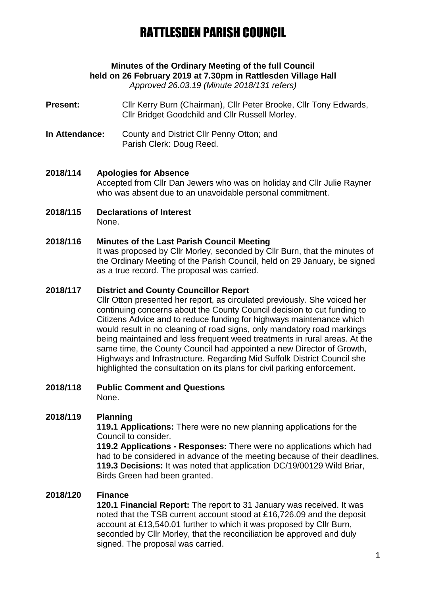# **Minutes of the Ordinary Meeting of the full Council held on 26 February 2019 at 7.30pm in Rattlesden Village Hall**

*Approved 26.03.19 (Minute 2018/131 refers)*

**Present:** Cllr Kerry Burn (Chairman), Cllr Peter Brooke, Cllr Tony Edwards, Cllr Bridget Goodchild and Cllr Russell Morley.

**In Attendance:** County and District Cllr Penny Otton; and Parish Clerk: Doug Reed.

### **2018/114 Apologies for Absence**

Accepted from Cllr Dan Jewers who was on holiday and Cllr Julie Rayner who was absent due to an unavoidable personal commitment.

**2018/115 Declarations of Interest** None.

### **2018/116 Minutes of the Last Parish Council Meeting**

It was proposed by Cllr Morley, seconded by Cllr Burn, that the minutes of the Ordinary Meeting of the Parish Council, held on 29 January, be signed as a true record. The proposal was carried.

#### **2018/117 District and County Councillor Report**

Cllr Otton presented her report, as circulated previously. She voiced her continuing concerns about the County Council decision to cut funding to Citizens Advice and to reduce funding for highways maintenance which would result in no cleaning of road signs, only mandatory road markings being maintained and less frequent weed treatments in rural areas. At the same time, the County Council had appointed a new Director of Growth, Highways and Infrastructure. Regarding Mid Suffolk District Council she highlighted the consultation on its plans for civil parking enforcement.

#### **2018/118 Public Comment and Questions** None.

### **2018/119 Planning**

**119.1 Applications:** There were no new planning applications for the Council to consider.

**119.2 Applications - Responses:** There were no applications which had had to be considered in advance of the meeting because of their deadlines. **119.3 Decisions:** It was noted that application DC/19/00129 Wild Briar, Birds Green had been granted.

### **2018/120 Finance**

**120.1 Financial Report:** The report to 31 January was received. It was noted that the TSB current account stood at £16,726.09 and the deposit account at £13,540.01 further to which it was proposed by Cllr Burn, seconded by Cllr Morley, that the reconciliation be approved and duly signed. The proposal was carried.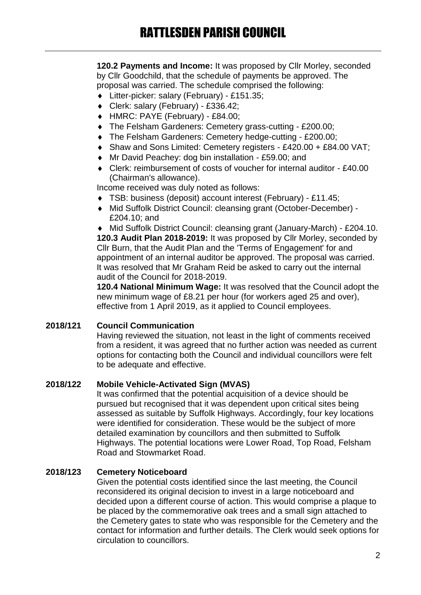**120.2 Payments and Income:** It was proposed by Cllr Morley, seconded by Cllr Goodchild, that the schedule of payments be approved. The proposal was carried. The schedule comprised the following:

- Litter-picker: salary (February) £151.35;
- Clerk: salary (February) £336.42;
- HMRC: PAYE (February) £84.00;
- ◆ The Felsham Gardeners: Cemetery grass-cutting £200.00;
- The Felsham Gardeners: Cemetery hedge-cutting £200.00;
- Shaw and Sons Limited: Cemetery registers £420.00 + £84.00 VAT;
- Mr David Peachey: dog bin installation £59.00; and
- Clerk: reimbursement of costs of voucher for internal auditor £40.00 (Chairman's allowance).

Income received was duly noted as follows:

- TSB: business (deposit) account interest (February) £11.45;
- Mid Suffolk District Council: cleansing grant (October-December) £204.10; and

 Mid Suffolk District Council: cleansing grant (January-March) - £204.10. **120.3 Audit Plan 2018-2019:** It was proposed by Cllr Morley, seconded by Cllr Burn, that the Audit Plan and the 'Terms of Engagement' for and appointment of an internal auditor be approved. The proposal was carried. It was resolved that Mr Graham Reid be asked to carry out the internal audit of the Council for 2018-2019.

**120.4 National Minimum Wage:** It was resolved that the Council adopt the new minimum wage of £8.21 per hour (for workers aged 25 and over), effective from 1 April 2019, as it applied to Council employees.

#### **2018/121 Council Communication**

Having reviewed the situation, not least in the light of comments received from a resident, it was agreed that no further action was needed as current options for contacting both the Council and individual councillors were felt to be adequate and effective.

### **2018/122 Mobile Vehicle-Activated Sign (MVAS)**

It was confirmed that the potential acquisition of a device should be pursued but recognised that it was dependent upon critical sites being assessed as suitable by Suffolk Highways. Accordingly, four key locations were identified for consideration. These would be the subject of more detailed examination by councillors and then submitted to Suffolk Highways. The potential locations were Lower Road, Top Road, Felsham Road and Stowmarket Road.

### **2018/123 Cemetery Noticeboard**

Given the potential costs identified since the last meeting, the Council reconsidered its original decision to invest in a large noticeboard and decided upon a different course of action. This would comprise a plaque to be placed by the commemorative oak trees and a small sign attached to the Cemetery gates to state who was responsible for the Cemetery and the contact for information and further details. The Clerk would seek options for circulation to councillors.